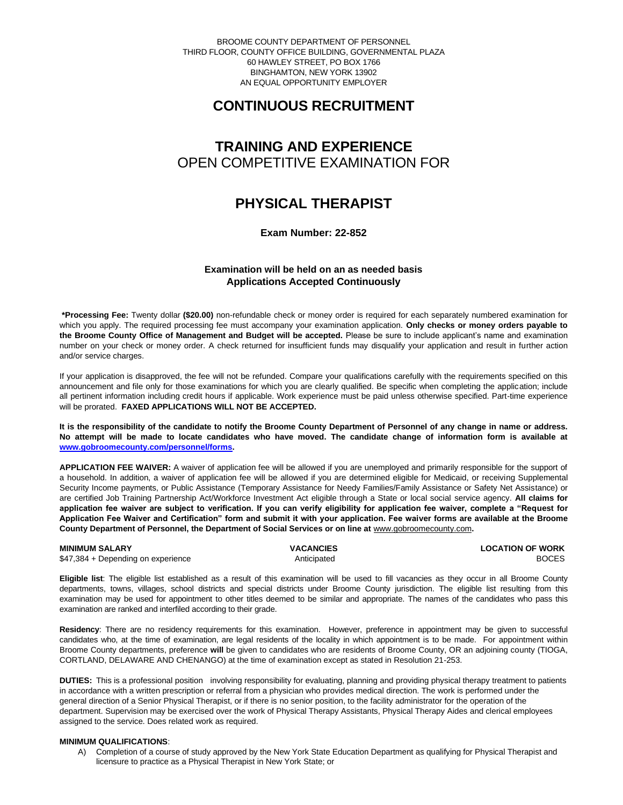BROOME COUNTY DEPARTMENT OF PERSONNEL THIRD FLOOR, COUNTY OFFICE BUILDING, GOVERNMENTAL PLAZA 60 HAWLEY STREET, PO BOX 1766 BINGHAMTON, NEW YORK 13902 AN EQUAL OPPORTUNITY EMPLOYER

# **CONTINUOUS RECRUITMENT**

# **TRAINING AND EXPERIENCE** OPEN COMPETITIVE EXAMINATION FOR

# **PHYSICAL THERAPIST**

## **Exam Number: 22-852**

## **Examination will be held on an as needed basis Applications Accepted Continuously**

**\*Processing Fee:** Twenty dollar **(\$20.00)** non-refundable check or money order is required for each separately numbered examination for which you apply. The required processing fee must accompany your examination application. **Only checks or money orders payable to the Broome County Office of Management and Budget will be accepted.** Please be sure to include applicant's name and examination number on your check or money order. A check returned for insufficient funds may disqualify your application and result in further action and/or service charges.

If your application is disapproved, the fee will not be refunded. Compare your qualifications carefully with the requirements specified on this announcement and file only for those examinations for which you are clearly qualified. Be specific when completing the application; include all pertinent information including credit hours if applicable. Work experience must be paid unless otherwise specified. Part-time experience will be prorated. **FAXED APPLICATIONS WILL NOT BE ACCEPTED.** 

**It is the responsibility of the candidate to notify the Broome County Department of Personnel of any change in name or address. No attempt will be made to locate candidates who have moved. The candidate change of information form is available at [www.gobroomecounty.com/personnel/forms.](http://www.gobroomecounty.com/personnel/forms)** 

**APPLICATION FEE WAIVER:** A waiver of application fee will be allowed if you are unemployed and primarily responsible for the support of a household. In addition, a waiver of application fee will be allowed if you are determined eligible for Medicaid, or receiving Supplemental Security Income payments, or Public Assistance (Temporary Assistance for Needy Families/Family Assistance or Safety Net Assistance) or are certified Job Training Partnership Act/Workforce Investment Act eligible through a State or local social service agency. **All claims for application fee waiver are subject to verification. If you can verify eligibility for application fee waiver, complete a "Request for Application Fee Waiver and Certification" form and submit it with your application. Fee waiver forms are available at the Broome County Department of Personnel, the Department of Social Services or on line at** www.gobroomecounty.com**.** 

**MINIMUM SALARY CONSUMINIMUM SALARY** CONSULTER VACANCIES **CONSUMINIMUM SALARY** CONSULTER SALARY CONSULTER SALARY BOCES  $$47,384 + Depending on experience$ 

**Eligible list**: The eligible list established as a result of this examination will be used to fill vacancies as they occur in all Broome County departments, towns, villages, school districts and special districts under Broome County jurisdiction. The eligible list resulting from this examination may be used for appointment to other titles deemed to be similar and appropriate. The names of the candidates who pass this examination are ranked and interfiled according to their grade.

**Residency**: There are no residency requirements for this examination. However, preference in appointment may be given to successful candidates who, at the time of examination, are legal residents of the locality in which appointment is to be made. For appointment within Broome County departments, preference **will** be given to candidates who are residents of Broome County, OR an adjoining county (TIOGA, CORTLAND, DELAWARE AND CHENANGO) at the time of examination except as stated in Resolution 21-253.

**DUTIES:** This is a professional position involving responsibility for evaluating, planning and providing physical therapy treatment to patients in accordance with a written prescription or referral from a physician who provides medical direction. The work is performed under the general direction of a Senior Physical Therapist, or if there is no senior position, to the facility administrator for the operation of the department. Supervision may be exercised over the work of Physical Therapy Assistants, Physical Therapy Aides and clerical employees assigned to the service. Does related work as required.

### **MINIMUM QUALIFICATIONS**:

A) Completion of a course of study approved by the New York State Education Department as qualifying for Physical Therapist and licensure to practice as a Physical Therapist in New York State; or